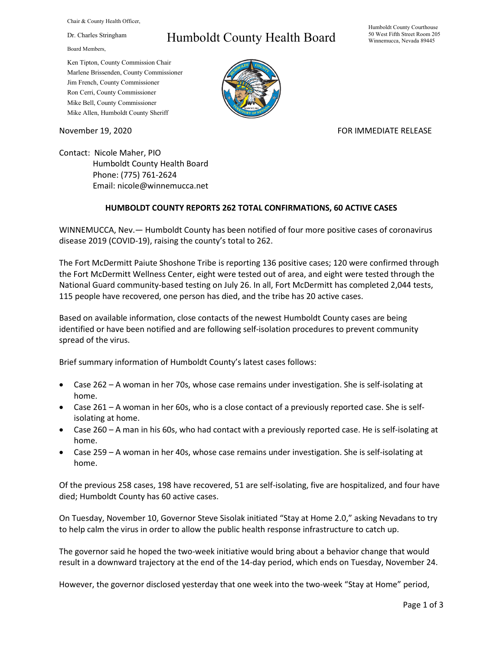Chair & County Health Officer,

Dr. Charles Stringham

Board Members,

## Humboldt County Health Board

Humboldt County Courthouse 50 West Fifth Street Room 205 Winnemucca, Nevada 89445

Ken Tipton, County Commission Chair Marlene Brissenden, County Commissioner Jim French, County Commissioner Ron Cerri, County Commissioner Mike Bell, County Commissioner Mike Allen, Humboldt County Sheriff

November 19, 2020 **FOR IMMEDIATE RELEASE** 

Contact: Nicole Maher, PIO Humboldt County Health Board Phone: (775) 761-2624 Email: nicole@winnemucca.net

## **HUMBOLDT COUNTY REPORTS 262 TOTAL CONFIRMATIONS, 60 ACTIVE CASES**

WINNEMUCCA, Nev.— Humboldt County has been notified of four more positive cases of coronavirus disease 2019 (COVID-19), raising the county's total to 262.

The Fort McDermitt Paiute Shoshone Tribe is reporting 136 positive cases; 120 were confirmed through the Fort McDermitt Wellness Center, eight were tested out of area, and eight were tested through the National Guard community-based testing on July 26. In all, Fort McDermitt has completed 2,044 tests, 115 people have recovered, one person has died, and the tribe has 20 active cases.

Based on available information, close contacts of the newest Humboldt County cases are being identified or have been notified and are following self-isolation procedures to prevent community spread of the virus.

Brief summary information of Humboldt County's latest cases follows:

- Case 262 A woman in her 70s, whose case remains under investigation. She is self-isolating at home.
- Case 261 A woman in her 60s, who is a close contact of a previously reported case. She is selfisolating at home.
- Case 260 A man in his 60s, who had contact with a previously reported case. He is self-isolating at home.
- Case 259 A woman in her 40s, whose case remains under investigation. She is self-isolating at home.

Of the previous 258 cases, 198 have recovered, 51 are self-isolating, five are hospitalized, and four have died; Humboldt County has 60 active cases.

On Tuesday, November 10, Governor Steve Sisolak initiated "Stay at Home 2.0," asking Nevadans to try to help calm the virus in order to allow the public health response infrastructure to catch up.

The governor said he hoped the two-week initiative would bring about a behavior change that would result in a downward trajectory at the end of the 14-day period, which ends on Tuesday, November 24.

However, the governor disclosed yesterday that one week into the two-week "Stay at Home" period,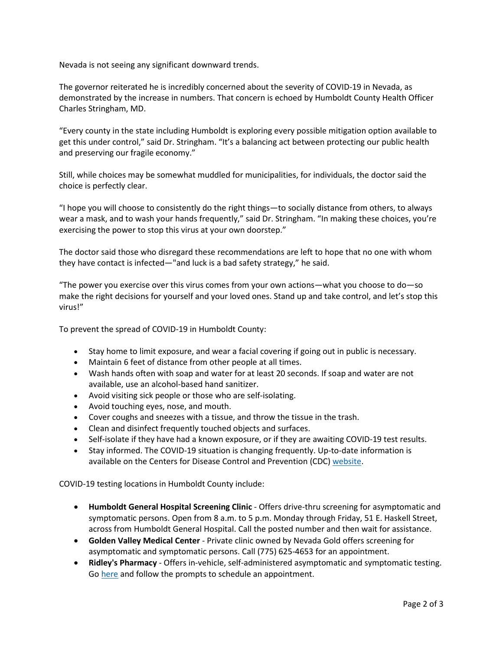Nevada is not seeing any significant downward trends.

The governor reiterated he is incredibly concerned about the severity of COVID-19 in Nevada, as demonstrated by the increase in numbers. That concern is echoed by Humboldt County Health Officer Charles Stringham, MD.

"Every county in the state including Humboldt is exploring every possible mitigation option available to get this under control," said Dr. Stringham. "It's a balancing act between protecting our public health and preserving our fragile economy."

Still, while choices may be somewhat muddled for municipalities, for individuals, the doctor said the choice is perfectly clear.

"I hope you will choose to consistently do the right things—to socially distance from others, to always wear a mask, and to wash your hands frequently," said Dr. Stringham. "In making these choices, you're exercising the power to stop this virus at your own doorstep."

The doctor said those who disregard these recommendations are left to hope that no one with whom they have contact is infected—"and luck is a bad safety strategy," he said.

"The power you exercise over this virus comes from your own actions—what you choose to do—so make the right decisions for yourself and your loved ones. Stand up and take control, and let's stop this virus!"

To prevent the spread of COVID-19 in Humboldt County:

- Stay home to limit exposure, and wear a facial covering if going out in public is necessary.
- Maintain 6 feet of distance from other people at all times.
- Wash hands often with soap and water for at least 20 seconds. If soap and water are not available, use an alcohol-based hand sanitizer.
- Avoid visiting sick people or those who are self-isolating.
- Avoid touching eyes, nose, and mouth.
- Cover coughs and sneezes with a tissue, and throw the tissue in the trash.
- Clean and disinfect frequently touched objects and surfaces.
- Self-isolate if they have had a known exposure, or if they are awaiting COVID-19 test results.
- Stay informed. The COVID-19 situation is changing frequently. Up-to-date information is available on the Centers for Disease Control and Prevention (CDC) [website.](http://www.cdc.gov/coronavirus/2019-ncov/index.html)

COVID-19 testing locations in Humboldt County include:

- **Humboldt General Hospital Screening Clinic** Offers drive-thru screening for asymptomatic and symptomatic persons. Open from 8 a.m. to 5 p.m. Monday through Friday, 51 E. Haskell Street, across from Humboldt General Hospital. Call the posted number and then wait for assistance.
- **Golden Valley Medical Center** Private clinic owned by Nevada Gold offers screening for asymptomatic and symptomatic persons. Call (775) 625-4653 for an appointment.
- **Ridley's Pharmacy** Offers in-vehicle, self-administered asymptomatic and symptomatic testing. Go [here](https://www.doineedacovid19test.com/Winnemucca_NV_1098.html) and follow the prompts to schedule an appointment.